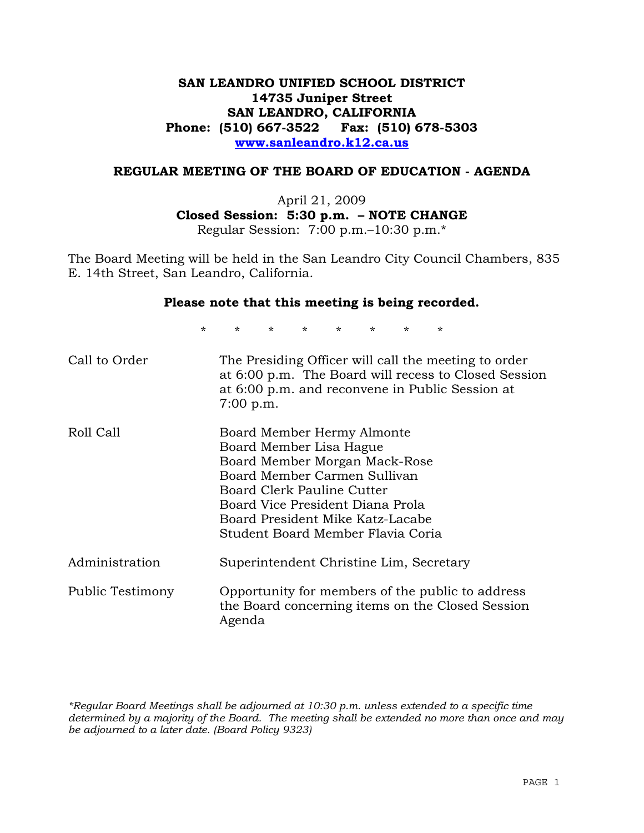# **SAN LEANDRO UNIFIED SCHOOL DISTRICT 14735 Juniper Street SAN LEANDRO, CALIFORNIA Phone: (510) 667-3522 Fax: (510) 678-5303 www.sanleandro.k12.ca.us**

## **REGULAR MEETING OF THE BOARD OF EDUCATION - AGENDA**

April 21, 2009 **Closed Session: 5:30 p.m. – NOTE CHANGE**  Regular Session: 7:00 p.m.–10:30 p.m.\*

The Board Meeting will be held in the San Leandro City Council Chambers, 835 E. 14th Street, San Leandro, California.

## **Please note that this meeting is being recorded.**

\* \* \* \* \* \* \* \*

| Call to Order    | The Presiding Officer will call the meeting to order<br>at 6:00 p.m. The Board will recess to Closed Session<br>at 6:00 p.m. and reconvene in Public Session at<br>$7:00$ p.m.                                                                                    |
|------------------|-------------------------------------------------------------------------------------------------------------------------------------------------------------------------------------------------------------------------------------------------------------------|
| Roll Call        | Board Member Hermy Almonte<br>Board Member Lisa Hague<br>Board Member Morgan Mack-Rose<br>Board Member Carmen Sullivan<br>Board Clerk Pauline Cutter<br>Board Vice President Diana Prola<br>Board President Mike Katz-Lacabe<br>Student Board Member Flavia Coria |
| Administration   | Superintendent Christine Lim, Secretary                                                                                                                                                                                                                           |
| Public Testimony | Opportunity for members of the public to address<br>the Board concerning items on the Closed Session<br>Agenda                                                                                                                                                    |

*\*Regular Board Meetings shall be adjourned at 10:30 p.m. unless extended to a specific time determined by a majority of the Board. The meeting shall be extended no more than once and may be adjourned to a later date. (Board Policy 9323)*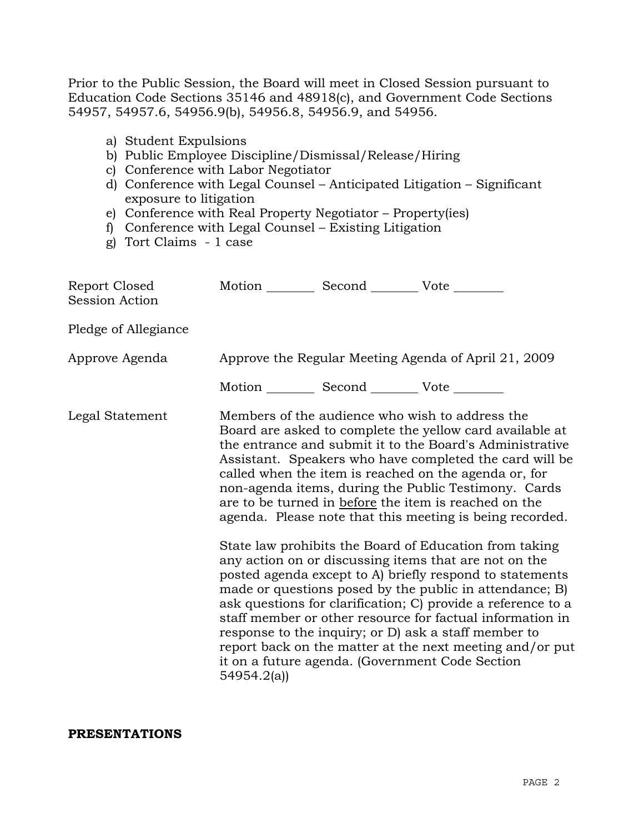Prior to the Public Session, the Board will meet in Closed Session pursuant to Education Code Sections 35146 and 48918(c), and Government Code Sections 54957, 54957.6, 54956.9(b), 54956.8, 54956.9, and 54956.

- a) Student Expulsions
- b) Public Employee Discipline/Dismissal/Release/Hiring
- c) Conference with Labor Negotiator
- d) Conference with Legal Counsel Anticipated Litigation Significant exposure to litigation
- e) Conference with Real Property Negotiator Property(ies)
- f) Conference with Legal Counsel Existing Litigation
- g) Tort Claims 1 case

| Report Closed<br><b>Session Action</b> | Motion __________ Second _________ Vote ________      |                                                                                                                                                                                                                                                                                                                                                                                                                                                                                                                                                                                                                                                                                                                                                                                                                                                                                                                                                                                                                        |
|----------------------------------------|-------------------------------------------------------|------------------------------------------------------------------------------------------------------------------------------------------------------------------------------------------------------------------------------------------------------------------------------------------------------------------------------------------------------------------------------------------------------------------------------------------------------------------------------------------------------------------------------------------------------------------------------------------------------------------------------------------------------------------------------------------------------------------------------------------------------------------------------------------------------------------------------------------------------------------------------------------------------------------------------------------------------------------------------------------------------------------------|
| Pledge of Allegiance                   |                                                       |                                                                                                                                                                                                                                                                                                                                                                                                                                                                                                                                                                                                                                                                                                                                                                                                                                                                                                                                                                                                                        |
| Approve Agenda                         |                                                       | Approve the Regular Meeting Agenda of April 21, 2009                                                                                                                                                                                                                                                                                                                                                                                                                                                                                                                                                                                                                                                                                                                                                                                                                                                                                                                                                                   |
|                                        | Motion ___________ Second ____________ Vote _________ |                                                                                                                                                                                                                                                                                                                                                                                                                                                                                                                                                                                                                                                                                                                                                                                                                                                                                                                                                                                                                        |
| Legal Statement                        | 54954.2(a)                                            | Members of the audience who wish to address the<br>Board are asked to complete the yellow card available at<br>the entrance and submit it to the Board's Administrative<br>Assistant. Speakers who have completed the card will be<br>called when the item is reached on the agenda or, for<br>non-agenda items, during the Public Testimony. Cards<br>are to be turned in before the item is reached on the<br>agenda. Please note that this meeting is being recorded.<br>State law prohibits the Board of Education from taking<br>any action on or discussing items that are not on the<br>posted agenda except to A) briefly respond to statements<br>made or questions posed by the public in attendance; B)<br>ask questions for clarification; C) provide a reference to a<br>staff member or other resource for factual information in<br>response to the inquiry; or D) ask a staff member to<br>report back on the matter at the next meeting and/or put<br>it on a future agenda. (Government Code Section |

**PRESENTATIONS**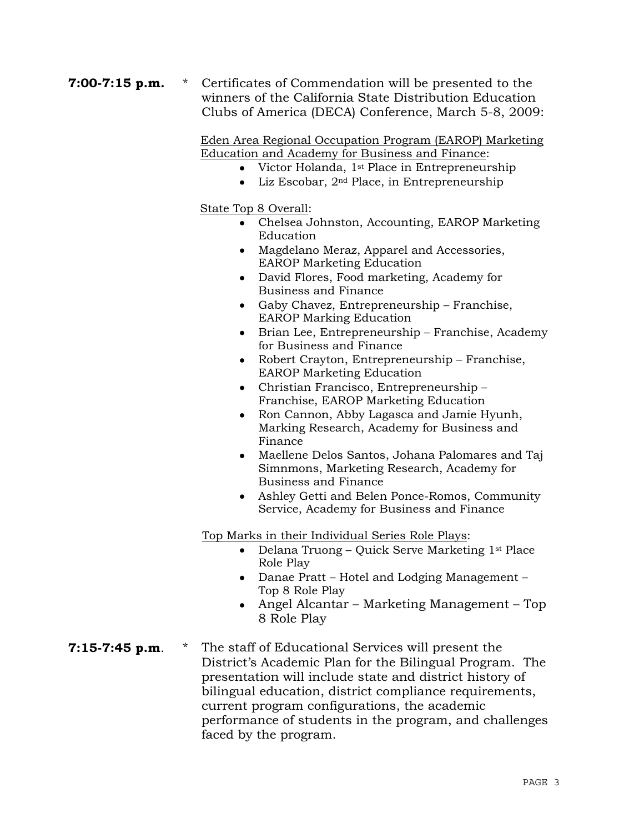**7:00-7:15 p.m.** \* Certificates of Commendation will be presented to the winners of the California State Distribution Education Clubs of America (DECA) Conference, March 5-8, 2009:

> Eden Area Regional Occupation Program (EAROP) Marketing Education and Academy for Business and Finance:

- Victor Holanda, 1<sup>st</sup> Place in Entrepreneurship
- Liz Escobar, 2<sup>nd</sup> Place, in Entrepreneurship

State Top 8 Overall:

- Chelsea Johnston, Accounting, EAROP Marketing Education
- Magdelano Meraz, Apparel and Accessories, EAROP Marketing Education
- David Flores, Food marketing, Academy for Business and Finance
- Gaby Chavez, Entrepreneurship Franchise, EAROP Marking Education
- Brian Lee, Entrepreneurship Franchise, Academy for Business and Finance
- Robert Crayton, Entrepreneurship Franchise, EAROP Marketing Education
- Christian Francisco, Entrepreneurship Franchise, EAROP Marketing Education
- Ron Cannon, Abby Lagasca and Jamie Hyunh, Marking Research, Academy for Business and Finance
- Maellene Delos Santos, Johana Palomares and Taj Simnmons, Marketing Research, Academy for Business and Finance
- Ashley Getti and Belen Ponce-Romos, Community Service, Academy for Business and Finance

Top Marks in their Individual Series Role Plays:

- Delana Truong Quick Serve Marketing 1st Place Role Play
- Danae Pratt Hotel and Lodging Management Top 8 Role Play
- Angel Alcantar Marketing Management Top 8 Role Play
- **7:15-7:45 p.m**. \* The staff of Educational Services will present the District's Academic Plan for the Bilingual Program. The presentation will include state and district history of bilingual education, district compliance requirements, current program configurations, the academic performance of students in the program, and challenges faced by the program.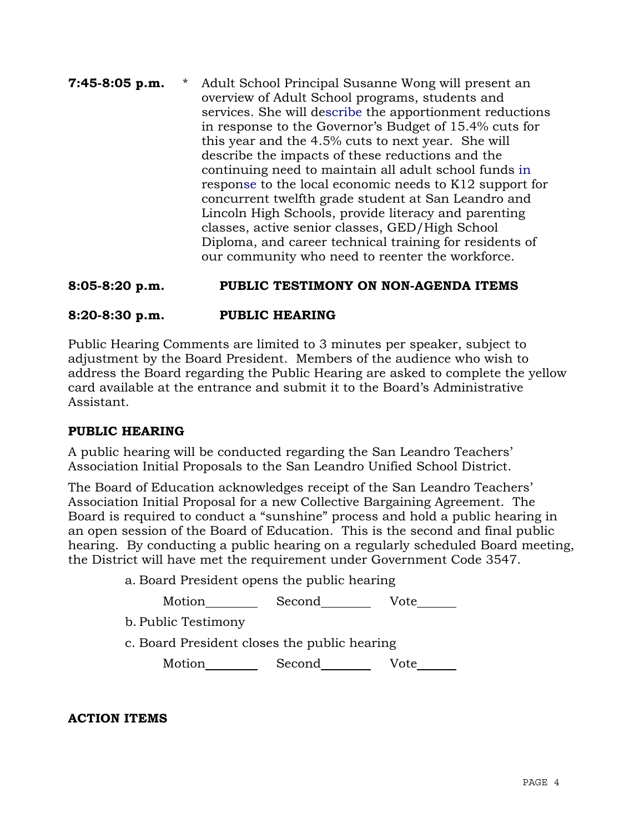**7:45-8:05 p.m.** \* Adult School Principal Susanne Wong will present an overview of Adult School programs, students and services. She will describe the apportionment reductions in response to the Governor's Budget of 15.4% cuts for this year and the 4.5% cuts to next year. She will describe the impacts of these reductions and the continuing need to maintain all adult school funds in response to the local economic needs to K12 support for concurrent twelfth grade student at San Leandro and Lincoln High Schools, provide literacy and parenting classes, active senior classes, GED/High School Diploma, and career technical training for residents of our community who need to reenter the workforce.

# **8:05-8:20 p.m. PUBLIC TESTIMONY ON NON-AGENDA ITEMS**

# **8:20-8:30 p.m. PUBLIC HEARING**

Public Hearing Comments are limited to 3 minutes per speaker, subject to adjustment by the Board President. Members of the audience who wish to address the Board regarding the Public Hearing are asked to complete the yellow card available at the entrance and submit it to the Board's Administrative Assistant.

## **PUBLIC HEARING**

A public hearing will be conducted regarding the San Leandro Teachers' Association Initial Proposals to the San Leandro Unified School District.

The Board of Education acknowledges receipt of the San Leandro Teachers' Association Initial Proposal for a new Collective Bargaining Agreement. The Board is required to conduct a "sunshine" process and hold a public hearing in an open session of the Board of Education. This is the second and final public hearing. By conducting a public hearing on a regularly scheduled Board meeting, the District will have met the requirement under Government Code 3547.

a. Board President opens the public hearing

Motion Second Vote

- b. Public Testimony
- c. Board President closes the public hearing

Motion <u>Second</u> Vote

**ACTION ITEMS**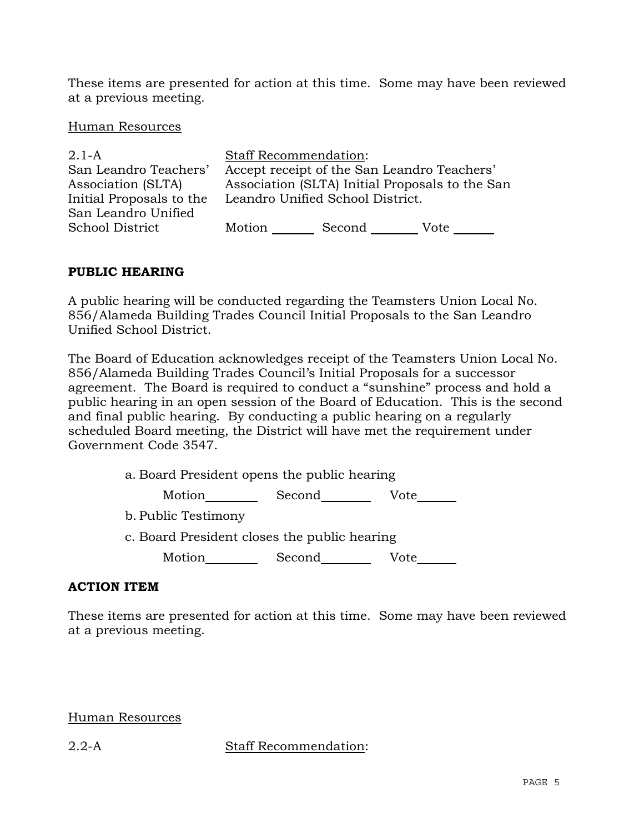These items are presented for action at this time. Some may have been reviewed at a previous meeting.

Human Resources

| $2.1-A$                  | <b>Staff Recommendation:</b>                    |                                             |      |
|--------------------------|-------------------------------------------------|---------------------------------------------|------|
| San Leandro Teachers'    |                                                 | Accept receipt of the San Leandro Teachers' |      |
| Association (SLTA)       | Association (SLTA) Initial Proposals to the San |                                             |      |
| Initial Proposals to the | Leandro Unified School District.                |                                             |      |
| San Leandro Unified      |                                                 |                                             |      |
| School District          | Motion                                          | Second                                      | Vote |

# **PUBLIC HEARING**

A public hearing will be conducted regarding the Teamsters Union Local No. 856/Alameda Building Trades Council Initial Proposals to the San Leandro Unified School District.

The Board of Education acknowledges receipt of the Teamsters Union Local No. 856/Alameda Building Trades Council's Initial Proposals for a successor agreement. The Board is required to conduct a "sunshine" process and hold a public hearing in an open session of the Board of Education. This is the second and final public hearing. By conducting a public hearing on a regularly scheduled Board meeting, the District will have met the requirement under Government Code 3547.

a. Board President opens the public hearing

Motion Second Vote

b. Public Testimony

c. Board President closes the public hearing

Motion Second Vote

# **ACTION ITEM**

These items are presented for action at this time. Some may have been reviewed at a previous meeting.

Human Resources

2.2-A Staff Recommendation: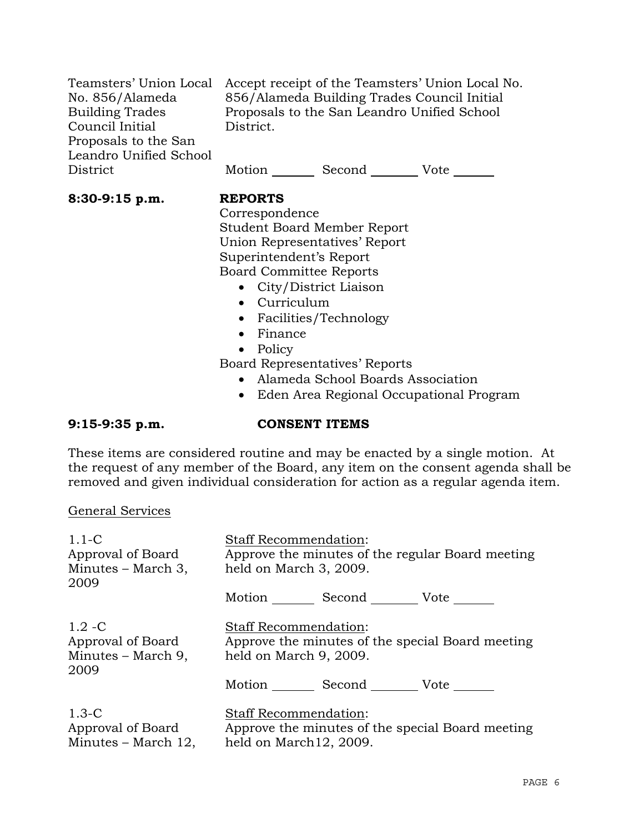|                        | Teamsters' Union Local Accept receipt of the Teamsters' Union Local No. |
|------------------------|-------------------------------------------------------------------------|
| No. 856/Alameda        | 856/Alameda Building Trades Council Initial                             |
| <b>Building Trades</b> | Proposals to the San Leandro Unified School                             |
| Council Initial        | District.                                                               |
| Proposals to the San   |                                                                         |
| Leandro Unified School |                                                                         |
| District               | Second<br>Motion<br>Vote                                                |

# **8:30-9:15 p.m. REPORTS**

 Correspondence Student Board Member Report Union Representatives' Report Superintendent's Report Board Committee Reports

- City/District Liaison
- Curriculum
- Facilities/Technology
- Finance
- Policy

Board Representatives' Reports

- Alameda School Boards Association
- Eden Area Regional Occupational Program

# **9:15-9:35 p.m. CONSENT ITEMS**

These items are considered routine and may be enacted by a single motion. At the request of any member of the Board, any item on the consent agenda shall be removed and given individual consideration for action as a regular agenda item.

# General Services

| $1.1-C$<br>Approval of Board<br>Minutes $-$ March 3,<br>2009 | Staff Recommendation:<br>Approve the minutes of the regular Board meeting<br>held on March 3, 2009.         |  |  |
|--------------------------------------------------------------|-------------------------------------------------------------------------------------------------------------|--|--|
|                                                              | Motion Second Vote                                                                                          |  |  |
| $1.2 - C$<br>Approval of Board<br>Minutes – March 9,<br>2009 | <b>Staff Recommendation:</b><br>Approve the minutes of the special Board meeting<br>held on March 9, 2009.  |  |  |
|                                                              | Motion Second Vote                                                                                          |  |  |
| $1.3-C$<br>Approval of Board<br>Minutes – March $12$ ,       | <b>Staff Recommendation:</b><br>Approve the minutes of the special Board meeting<br>held on March 12, 2009. |  |  |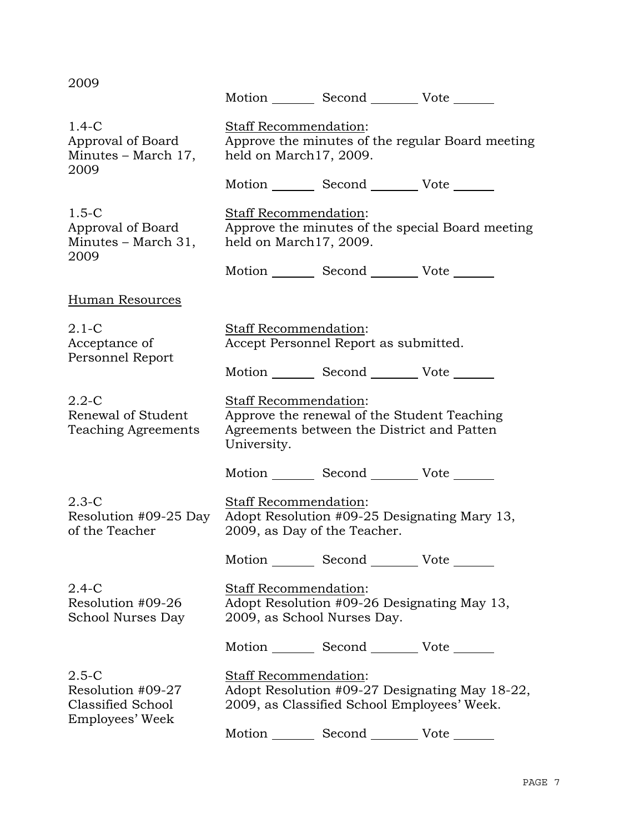| 2009                                                                 |                                                                                                     |                                                                                           |                                                  |  |
|----------------------------------------------------------------------|-----------------------------------------------------------------------------------------------------|-------------------------------------------------------------------------------------------|--------------------------------------------------|--|
|                                                                      |                                                                                                     | Motion _________ Second __________ Vote _______                                           |                                                  |  |
| $1.4-C$<br>Approval of Board<br>Minutes – March 17,                  | Staff Recommendation:<br>Approve the minutes of the regular Board meeting<br>held on March17, 2009. |                                                                                           |                                                  |  |
| 2009                                                                 |                                                                                                     | Motion _________ Second __________ Vote _______                                           |                                                  |  |
| $1.5-C$<br>Approval of Board<br>Minutes – March 31,<br>2009          | Staff Recommendation:<br>held on March17, 2009.                                                     |                                                                                           | Approve the minutes of the special Board meeting |  |
|                                                                      |                                                                                                     | Motion _________ Second __________ Vote _______                                           |                                                  |  |
| Human Resources                                                      |                                                                                                     |                                                                                           |                                                  |  |
| $2.1-C$<br>Acceptance of<br>Personnel Report                         | Staff Recommendation:                                                                               | Accept Personnel Report as submitted.                                                     |                                                  |  |
|                                                                      |                                                                                                     | Motion _________ Second __________ Vote _______                                           |                                                  |  |
| $2.2 - C$<br>Renewal of Student<br><b>Teaching Agreements</b>        | Staff Recommendation:<br>University.                                                                | Approve the renewal of the Student Teaching<br>Agreements between the District and Patten |                                                  |  |
|                                                                      |                                                                                                     | Motion _________ Second __________ Vote _______                                           |                                                  |  |
| $2.3-C$<br>Resolution #09-25 Day<br>of the Teacher                   | Staff Recommendation:<br>2009, as Day of the Teacher.                                               |                                                                                           | Adopt Resolution #09-25 Designating Mary 13,     |  |
|                                                                      |                                                                                                     | Motion _________ Second __________ Vote _______                                           |                                                  |  |
| $2.4-C$<br>Resolution #09-26<br>School Nurses Day                    | Staff Recommendation:<br>2009, as School Nurses Day.                                                | Adopt Resolution #09-26 Designating May 13,                                               |                                                  |  |
|                                                                      |                                                                                                     | Motion _________ Second __________ Vote _______                                           |                                                  |  |
| $2.5-C$<br>Resolution #09-27<br>Classified School<br>Employees' Week | Staff Recommendation:                                                                               | 2009, as Classified School Employees' Week.                                               | Adopt Resolution #09-27 Designating May 18-22,   |  |
|                                                                      | Motion                                                                                              | Second Vote                                                                               |                                                  |  |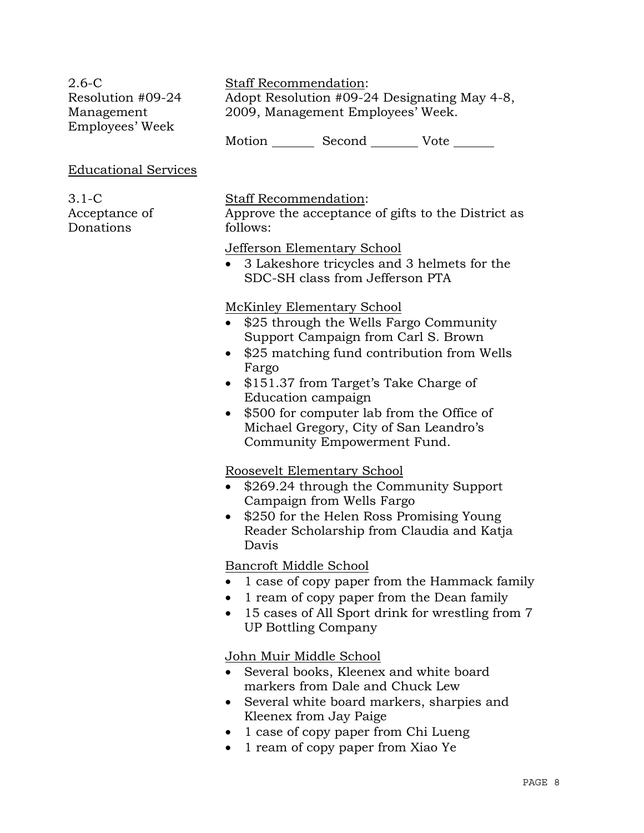2.6-C Resolution #09-24 Management Employees' Week

Staff Recommendation: Adopt Resolution #09-24 Designating May 4-8, 2009, Management Employees' Week.

Motion Second Vote \_\_\_\_\_\_

## Educational Services

# 3.1-C Acceptance of Donations

### Staff Recommendation:

Approve the acceptance of gifts to the District as follows:

Jefferson Elementary School

• 3 Lakeshore tricycles and 3 helmets for the SDC-SH class from Jefferson PTA

## McKinley Elementary School

- \$25 through the Wells Fargo Community Support Campaign from Carl S. Brown
- \$25 matching fund contribution from Wells Fargo
- \$151.37 from Target's Take Charge of Education campaign
- \$500 for computer lab from the Office of Michael Gregory, City of San Leandro's Community Empowerment Fund.

## Roosevelt Elementary School

- \$269.24 through the Community Support Campaign from Wells Fargo
- \$250 for the Helen Ross Promising Young Reader Scholarship from Claudia and Katja Davis

Bancroft Middle School

- 1 case of copy paper from the Hammack family
- 1 ream of copy paper from the Dean family
- 15 cases of All Sport drink for wrestling from 7 UP Bottling Company

## John Muir Middle School

- Several books, Kleenex and white board markers from Dale and Chuck Lew
- Several white board markers, sharpies and Kleenex from Jay Paige
- 1 case of copy paper from Chi Lueng
- 1 ream of copy paper from Xiao Ye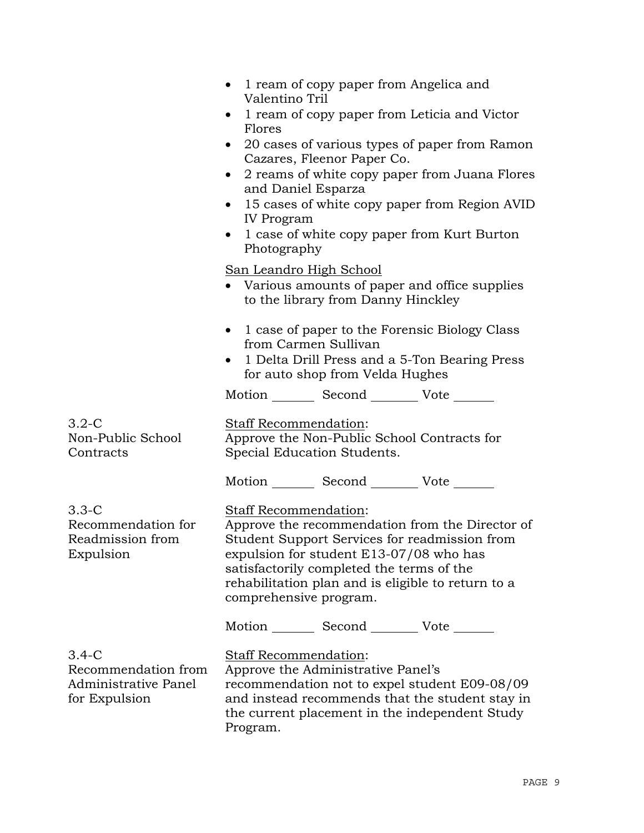|                                                                         | 1 ream of copy paper from Angelica and<br>Valentino Tril<br>1 ream of copy paper from Leticia and Victor<br>Flores<br>20 cases of various types of paper from Ramon<br>Cazares, Fleenor Paper Co.<br>2 reams of white copy paper from Juana Flores<br>$\bullet$<br>and Daniel Esparza<br>15 cases of white copy paper from Region AVID<br>$\bullet$<br>IV Program<br>1 case of white copy paper from Kurt Burton<br>$\bullet$<br>Photography<br>San Leandro High School<br>• Various amounts of paper and office supplies<br>to the library from Danny Hinckley<br>1 case of paper to the Forensic Biology Class<br>from Carmen Sullivan<br>1 Delta Drill Press and a 5-Ton Bearing Press<br>for auto shop from Velda Hughes |
|-------------------------------------------------------------------------|------------------------------------------------------------------------------------------------------------------------------------------------------------------------------------------------------------------------------------------------------------------------------------------------------------------------------------------------------------------------------------------------------------------------------------------------------------------------------------------------------------------------------------------------------------------------------------------------------------------------------------------------------------------------------------------------------------------------------|
| $3.2-C$<br>Non-Public School<br>Contracts                               | Motion _________ Second __________ Vote _______<br>Staff Recommendation:<br>Approve the Non-Public School Contracts for<br>Special Education Students.                                                                                                                                                                                                                                                                                                                                                                                                                                                                                                                                                                       |
|                                                                         | Motion _________ Second __________ Vote _______                                                                                                                                                                                                                                                                                                                                                                                                                                                                                                                                                                                                                                                                              |
| $3.3-C$<br>Recommendation for<br>Readmission from<br>Expulsion          | Staff Recommendation:<br>Approve the recommendation from the Director of<br>Student Support Services for readmission from<br>expulsion for student E13-07/08 who has<br>satisfactorily completed the terms of the<br>rehabilitation plan and is eligible to return to a<br>comprehensive program.                                                                                                                                                                                                                                                                                                                                                                                                                            |
|                                                                         | Motion _________ Second __________ Vote _______                                                                                                                                                                                                                                                                                                                                                                                                                                                                                                                                                                                                                                                                              |
| $3.4-C$<br>Recommendation from<br>Administrative Panel<br>for Expulsion | Staff Recommendation:<br>Approve the Administrative Panel's<br>recommendation not to expel student E09-08/09<br>and instead recommends that the student stay in<br>the current placement in the independent Study<br>Program.                                                                                                                                                                                                                                                                                                                                                                                                                                                                                                |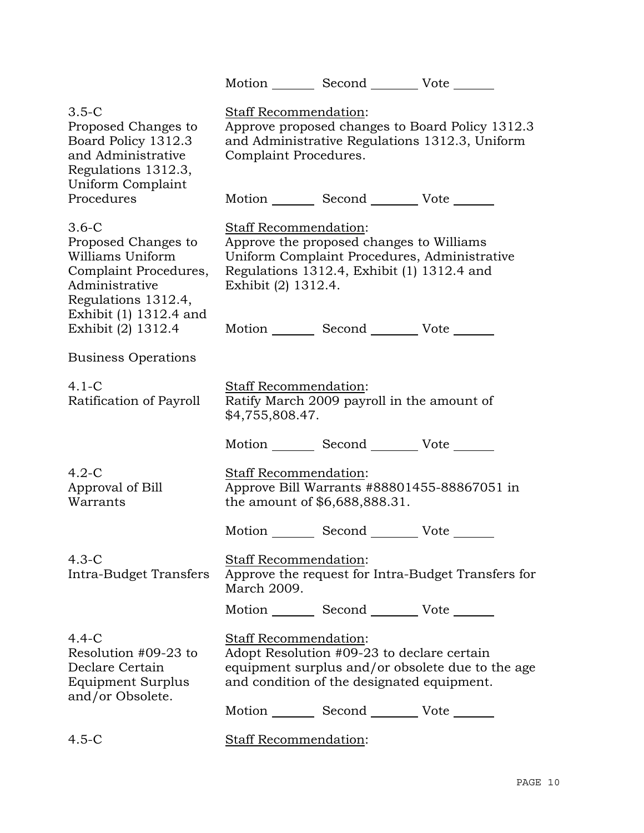|                                                                                                                                                                      |                                                                                        |                               | Motion _________ Second __________ Vote _______                                                                                                                                           |
|----------------------------------------------------------------------------------------------------------------------------------------------------------------------|----------------------------------------------------------------------------------------|-------------------------------|-------------------------------------------------------------------------------------------------------------------------------------------------------------------------------------------|
| $3.5-C$<br>Proposed Changes to<br>Board Policy 1312.3<br>and Administrative<br>Regulations 1312.3,<br>Uniform Complaint                                              | Staff Recommendation:<br>Complaint Procedures.                                         |                               | Approve proposed changes to Board Policy 1312.3<br>and Administrative Regulations 1312.3, Uniform                                                                                         |
| Procedures                                                                                                                                                           |                                                                                        |                               | Motion _________ Second __________ Vote _______                                                                                                                                           |
| $3.6-C$<br>Proposed Changes to<br>Williams Uniform<br>Complaint Procedures,<br>Administrative<br>Regulations 1312.4,<br>Exhibit (1) 1312.4 and<br>Exhibit (2) 1312.4 | Staff Recommendation:<br>Exhibit (2) 1312.4.                                           |                               | Approve the proposed changes to Williams<br>Uniform Complaint Procedures, Administrative<br>Regulations 1312.4, Exhibit (1) 1312.4 and<br>Motion _________ Second __________ Vote _______ |
| <b>Business Operations</b>                                                                                                                                           |                                                                                        |                               |                                                                                                                                                                                           |
| $4.1 - C$<br>Ratification of Payroll                                                                                                                                 | Staff Recommendation:<br>Ratify March 2009 payroll in the amount of<br>\$4,755,808.47. |                               |                                                                                                                                                                                           |
|                                                                                                                                                                      |                                                                                        |                               | Motion _________ Second __________ Vote _______                                                                                                                                           |
| $4.2-C$<br>Approval of Bill<br>Warrants                                                                                                                              | Staff Recommendation:                                                                  | the amount of \$6,688,888.31. | Approve Bill Warrants #88801455-88867051 in                                                                                                                                               |
|                                                                                                                                                                      |                                                                                        |                               | Motion _________ Second __________ Vote _______                                                                                                                                           |
| $4.3-C$<br>Intra-Budget Transfers                                                                                                                                    | Staff Recommendation:<br>March 2009.                                                   |                               | Approve the request for Intra-Budget Transfers for                                                                                                                                        |
|                                                                                                                                                                      |                                                                                        |                               | Motion _________ Second ___________ Vote _______                                                                                                                                          |
| $4.4-C$<br>Resolution #09-23 to<br>Declare Certain<br><b>Equipment Surplus</b><br>and/or Obsolete.                                                                   | Staff Recommendation:                                                                  |                               | Adopt Resolution #09-23 to declare certain<br>equipment surplus and/or obsolete due to the age<br>and condition of the designated equipment.                                              |
|                                                                                                                                                                      |                                                                                        |                               | Motion _________ Second ___________ Vote _______                                                                                                                                          |
| $4.5-C$                                                                                                                                                              | <b>Staff Recommendation:</b>                                                           |                               |                                                                                                                                                                                           |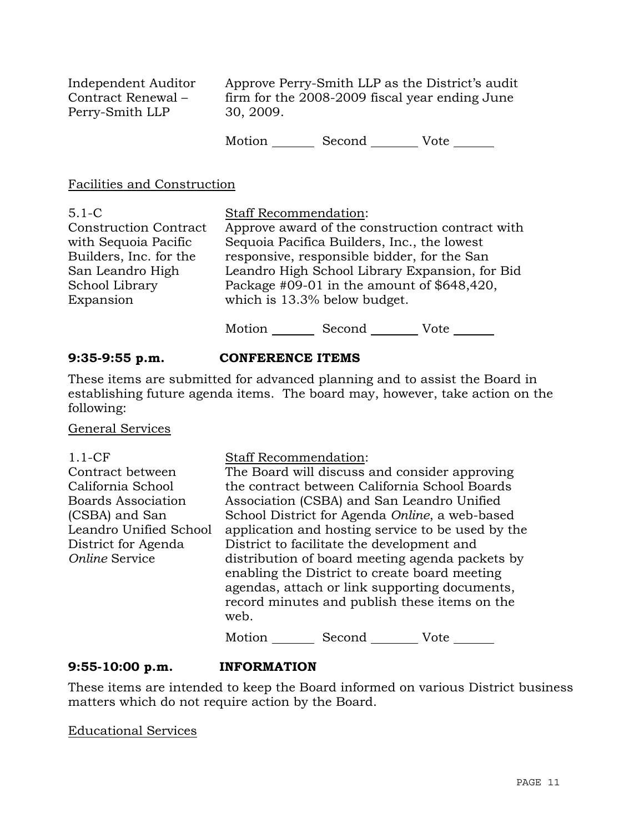| Independent Auditor<br>Contract Renewal –<br>Perry-Smith LLP | 30, 2009. |        | Approve Perry-Smith LLP as the District's audit<br>firm for the 2008-2009 fiscal year ending June |  |
|--------------------------------------------------------------|-----------|--------|---------------------------------------------------------------------------------------------------|--|
|                                                              | Motion    | Second | Vote                                                                                              |  |

## Facilities and Construction

| $5.1 - C$                    | <b>Staff Recommendation:</b>                    |
|------------------------------|-------------------------------------------------|
| <b>Construction Contract</b> | Approve award of the construction contract with |
| with Sequoia Pacific         | Sequoia Pacifica Builders, Inc., the lowest     |
| Builders, Inc. for the       | responsive, responsible bidder, for the San     |
| San Leandro High             | Leandro High School Library Expansion, for Bid  |
| School Library               | Package #09-01 in the amount of \$648,420,      |
| Expansion                    | which is 13.3% below budget.                    |
|                              | Motion<br>Second<br>Vote                        |

## **9:35-9:55 p.m. CONFERENCE ITEMS**

These items are submitted for advanced planning and to assist the Board in establishing future agenda items. The board may, however, take action on the following:

General Services

1.1-CF

Staff Recommendation:

|                | Vote                                                                                                                                                                                                                                                                                                                                                                                                                                                                                                              |
|----------------|-------------------------------------------------------------------------------------------------------------------------------------------------------------------------------------------------------------------------------------------------------------------------------------------------------------------------------------------------------------------------------------------------------------------------------------------------------------------------------------------------------------------|
| web.<br>Motion | The Board will discuss and consider approving<br>the contract between California School Boards<br>Association (CSBA) and San Leandro Unified<br>School District for Agenda Online, a web-based<br>application and hosting service to be used by the<br>District to facilitate the development and<br>distribution of board meeting agenda packets by<br>enabling the District to create board meeting<br>agendas, attach or link supporting documents,<br>record minutes and publish these items on the<br>Second |

## **9:55-10:00 p.m. INFORMATION**

These items are intended to keep the Board informed on various District business matters which do not require action by the Board.

Educational Services